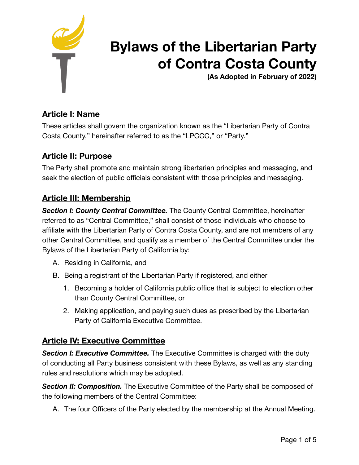

# **Bylaws of the Libertarian Party of Contra Costa County**

**(As Adopted in February of 2022)** 

# **Article I: Name**

These articles shall govern the organization known as the "Libertarian Party of Contra Costa County," hereinafter referred to as the "LPCCC," or "Party."

### **Article II: Purpose**

The Party shall promote and maintain strong libertarian principles and messaging, and seek the election of public officials consistent with those principles and messaging.

### **Article III: Membership**

**Section I: County Central Committee.** The County Central Committee, hereinafter referred to as "Central Committee," shall consist of those individuals who choose to affiliate with the Libertarian Party of Contra Costa County, and are not members of any other Central Committee, and qualify as a member of the Central Committee under the Bylaws of the Libertarian Party of California by:

- A. Residing in California, and
- B. Being a registrant of the Libertarian Party if registered, and either
	- 1. Becoming a holder of California public office that is subject to election other than County Central Committee, or
	- 2. Making application, and paying such dues as prescribed by the Libertarian Party of California Executive Committee.

### **Article IV: Executive Committee**

**Section I: Executive Committee.** The Executive Committee is charged with the duty of conducting all Party business consistent with these Bylaws, as well as any standing rules and resolutions which may be adopted.

**Section II: Composition.** The Executive Committee of the Party shall be composed of the following members of the Central Committee:

A. The four Officers of the Party elected by the membership at the Annual Meeting.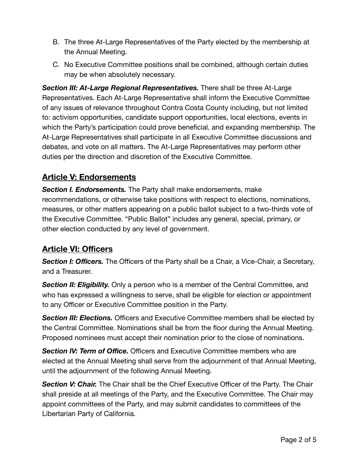- B. The three At-Large Representatives of the Party elected by the membership at the Annual Meeting.
- C. No Executive Committee positions shall be combined, although certain duties may be when absolutely necessary.

*Section III: At-Large Regional Representatives.* There shall be three At-Large Representatives. Each At-Large Representative shall inform the Executive Committee of any issues of relevance throughout Contra Costa County including, but not limited to: activism opportunities, candidate support opportunities, local elections, events in which the Party's participation could prove beneficial, and expanding membership. The At-Large Representatives shall participate in all Executive Committee discussions and debates, and vote on all matters. The At-Large Representatives may perform other duties per the direction and discretion of the Executive Committee.

# **Article V: Endorsements**

*Section I. Endorsements.* The Party shall make endorsements, make recommendations, or otherwise take positions with respect to elections, nominations, measures, or other matters appearing on a public ballot subject to a two-thirds vote of the Executive Committee. "Public Ballot" includes any general, special, primary, or other election conducted by any level of government.

# **Article VI: Officers**

*Section I: Officers.* The Officers of the Party shall be a Chair, a Vice-Chair, a Secretary, and a Treasurer.

**Section II: Eligibility.** Only a person who is a member of the Central Committee, and who has expressed a willingness to serve, shall be eligible for election or appointment to any Officer or Executive Committee position in the Party.

*Section III: Elections.* Officers and Executive Committee members shall be elected by the Central Committee. Nominations shall be from the floor during the Annual Meeting. Proposed nominees must accept their nomination prior to the close of nominations.

*Section IV: Term of Office.* Officers and Executive Committee members who are elected at the Annual Meeting shall serve from the adjournment of that Annual Meeting, until the adjournment of the following Annual Meeting.

**Section V: Chair.** The Chair shall be the Chief Executive Officer of the Party. The Chair shall preside at all meetings of the Party, and the Executive Committee. The Chair may appoint committees of the Party, and may submit candidates to committees of the Libertarian Party of California.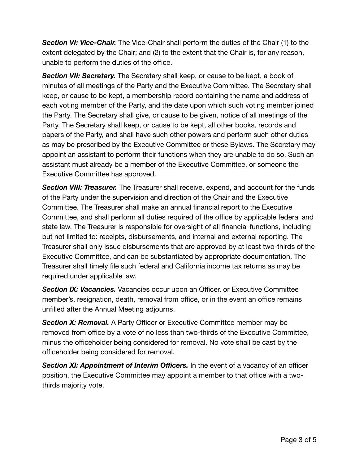**Section VI: Vice-Chair.** The Vice-Chair shall perform the duties of the Chair (1) to the extent delegated by the Chair; and (2) to the extent that the Chair is, for any reason, unable to perform the duties of the office.

*Section VII: Secretary.* The Secretary shall keep, or cause to be kept, a book of minutes of all meetings of the Party and the Executive Committee. The Secretary shall keep, or cause to be kept, a membership record containing the name and address of each voting member of the Party, and the date upon which such voting member joined the Party. The Secretary shall give, or cause to be given, notice of all meetings of the Party. The Secretary shall keep, or cause to be kept, all other books, records and papers of the Party, and shall have such other powers and perform such other duties as may be prescribed by the Executive Committee or these Bylaws. The Secretary may appoint an assistant to perform their functions when they are unable to do so. Such an assistant must already be a member of the Executive Committee, or someone the Executive Committee has approved.

**Section VIII: Treasurer.** The Treasurer shall receive, expend, and account for the funds of the Party under the supervision and direction of the Chair and the Executive Committee. The Treasurer shall make an annual financial report to the Executive Committee, and shall perform all duties required of the office by applicable federal and state law. The Treasurer is responsible for oversight of all financial functions, including but not limited to: receipts, disbursements, and internal and external reporting. The Treasurer shall only issue disbursements that are approved by at least two-thirds of the Executive Committee, and can be substantiated by appropriate documentation. The Treasurer shall timely file such federal and California income tax returns as may be required under applicable law.

*Section IX: Vacancies.* Vacancies occur upon an Officer, or Executive Committee member's, resignation, death, removal from office, or in the event an office remains unfilled after the Annual Meeting adjourns.

**Section X: Removal.** A Party Officer or Executive Committee member may be removed from office by a vote of no less than two-thirds of the Executive Committee, minus the officeholder being considered for removal. No vote shall be cast by the officeholder being considered for removal.

**Section XI: Appointment of Interim Officers.** In the event of a vacancy of an officer position, the Executive Committee may appoint a member to that office with a twothirds majority vote.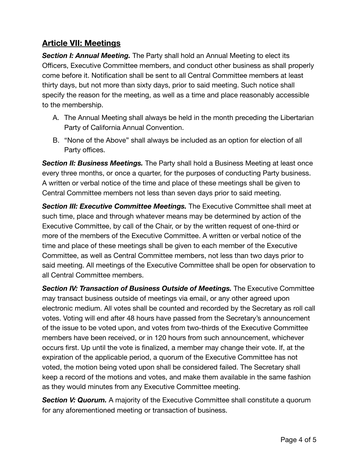## **Article VII: Meetings**

*Section I: Annual Meeting.* The Party shall hold an Annual Meeting to elect its Officers, Executive Committee members, and conduct other business as shall properly come before it. Notification shall be sent to all Central Committee members at least thirty days, but not more than sixty days, prior to said meeting. Such notice shall specify the reason for the meeting, as well as a time and place reasonably accessible to the membership.

- A. The Annual Meeting shall always be held in the month preceding the Libertarian Party of California Annual Convention.
- B. "None of the Above" shall always be included as an option for election of all Party offices.

**Section II: Business Meetings.** The Party shall hold a Business Meeting at least once every three months, or once a quarter, for the purposes of conducting Party business. A written or verbal notice of the time and place of these meetings shall be given to Central Committee members not less than seven days prior to said meeting.

**Section III: Executive Committee Meetings.** The Executive Committee shall meet at such time, place and through whatever means may be determined by action of the Executive Committee, by call of the Chair, or by the written request of one-third or more of the members of the Executive Committee. A written or verbal notice of the time and place of these meetings shall be given to each member of the Executive Committee, as well as Central Committee members, not less than two days prior to said meeting. All meetings of the Executive Committee shall be open for observation to all Central Committee members.

*Section IV: Transaction of Business Outside of Meetings.* The Executive Committee may transact business outside of meetings via email, or any other agreed upon electronic medium. All votes shall be counted and recorded by the Secretary as roll call votes. Voting will end after 48 hours have passed from the Secretary's announcement of the issue to be voted upon, and votes from two-thirds of the Executive Committee members have been received, or in 120 hours from such announcement, whichever occurs first. Up until the vote is finalized, a member may change their vote. If, at the expiration of the applicable period, a quorum of the Executive Committee has not voted, the motion being voted upon shall be considered failed. The Secretary shall keep a record of the motions and votes, and make them available in the same fashion as they would minutes from any Executive Committee meeting.

**Section V: Quorum.** A majority of the Executive Committee shall constitute a quorum for any aforementioned meeting or transaction of business.